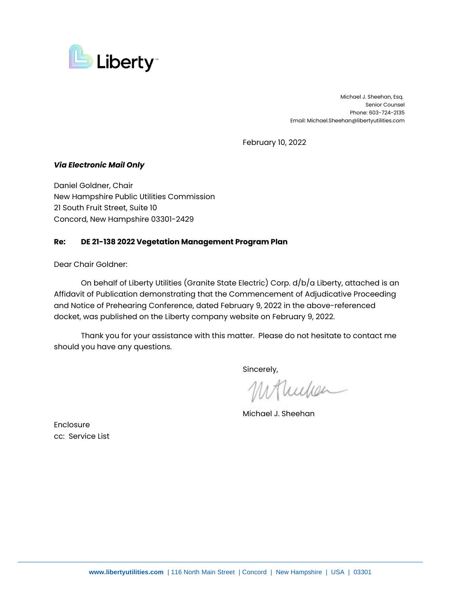

 Michael J. Sheehan, Esq. Senior Counsel Phone: 603-724-2135 Email: Michael.Sheehan@libertyutilities.com

February 10, 2022

## *Via Electronic Mail Only*

Daniel Goldner, Chair New Hampshire Public Utilities Commission 21 South Fruit Street, Suite 10 Concord, New Hampshire 03301-2429

## **Re: DE 21-138 2022 Vegetation Management Program Plan**

Dear Chair Goldner:

On behalf of Liberty Utilities (Granite State Electric) Corp. d/b/a Liberty, attached is an Affidavit of Publication demonstrating that the Commencement of Adjudicative Proceeding and Notice of Prehearing Conference, dated February 9, 2022 in the above-referenced docket, was published on the Liberty company website on February 9, 2022.

Thank you for your assistance with this matter. Please do not hesitate to contact me should you have any questions.

Sincerely,

Mullen

Michael J. Sheehan

Enclosure cc: Service List